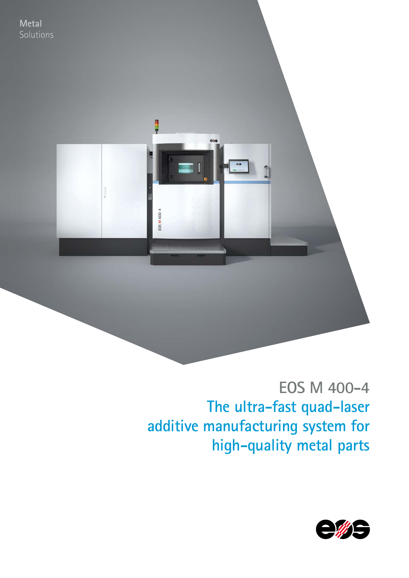

# **EOS M 400-4 The ultra-fast quad-laser additive manufacturing system for high-quality metal parts**